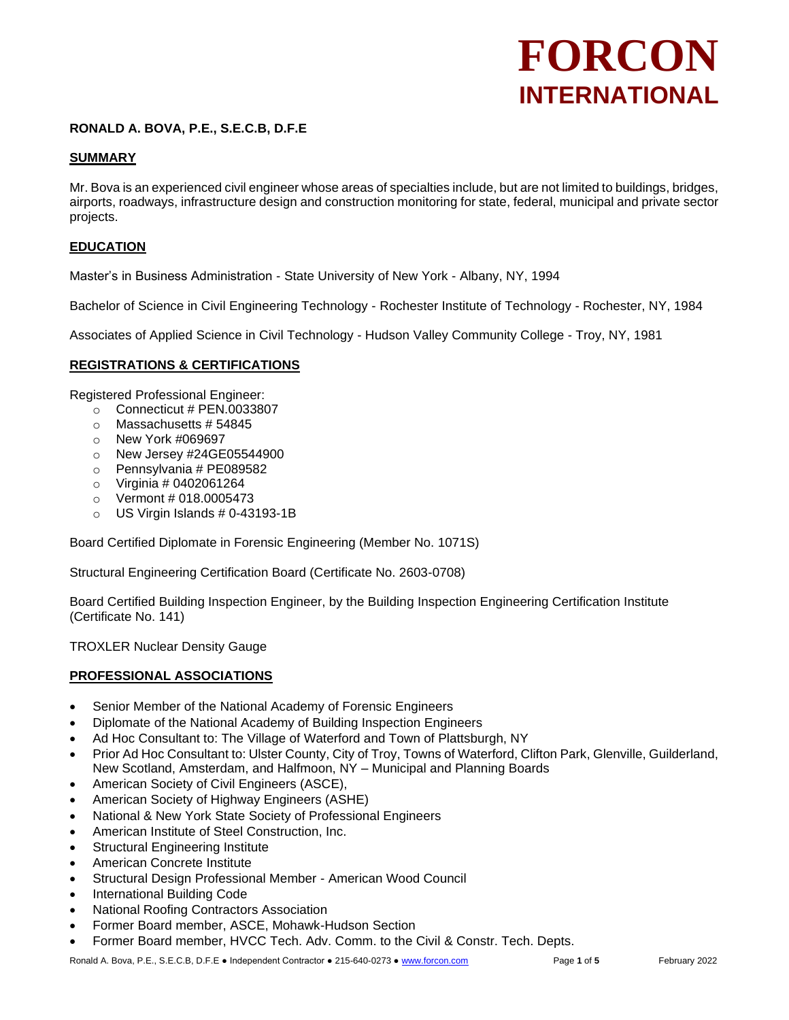## **RONALD A. BOVA, P.E., S.E.C.B, D.F.E**

## **SUMMARY**

Mr. Bova is an experienced civil engineer whose areas of specialties include, but are not limited to buildings, bridges, airports, roadways, infrastructure design and construction monitoring for state, federal, municipal and private sector projects.

#### **EDUCATION**

Master's in Business Administration - State University of New York - Albany, NY, 1994

Bachelor of Science in Civil Engineering Technology - Rochester Institute of Technology - Rochester, NY, 1984

Associates of Applied Science in Civil Technology - Hudson Valley Community College - Troy, NY, 1981

#### **REGISTRATIONS & CERTIFICATIONS**

Registered Professional Engineer:

- o Connecticut # PEN.0033807
- $\circ$  Massachusetts #54845
- o New York #069697
- o New Jersey #24GE05544900
- o Pennsylvania # PE089582
- $\circ$  Virginia # 0402061264
- $\circ$  Vermont # 018.0005473
- $\circ$  US Virgin Islands # 0-43193-1B

Board Certified Diplomate in Forensic Engineering (Member No. 1071S)

Structural Engineering Certification Board (Certificate No. 2603-0708)

Board Certified Building Inspection Engineer, by the Building Inspection Engineering Certification Institute (Certificate No. 141)

TROXLER Nuclear Density Gauge

#### **PROFESSIONAL ASSOCIATIONS**

- Senior Member of the National Academy of Forensic Engineers
- Diplomate of the National Academy of Building Inspection Engineers
- Ad Hoc Consultant to: The Village of Waterford and Town of Plattsburgh, NY
- Prior Ad Hoc Consultant to: Ulster County, City of Troy, Towns of Waterford, Clifton Park, Glenville, Guilderland, New Scotland, Amsterdam, and Halfmoon, NY – Municipal and Planning Boards
- American Society of Civil Engineers (ASCE),
- American Society of Highway Engineers (ASHE)
- National & New York State Society of Professional Engineers
- American Institute of Steel Construction, Inc.
- **Structural Engineering Institute**
- American Concrete Institute
- Structural Design Professional Member American Wood Council
- International Building Code
- National Roofing Contractors Association
- Former Board member, ASCE, Mohawk-Hudson Section
- Former Board member, HVCC Tech. Adv. Comm. to the Civil & Constr. Tech. Depts.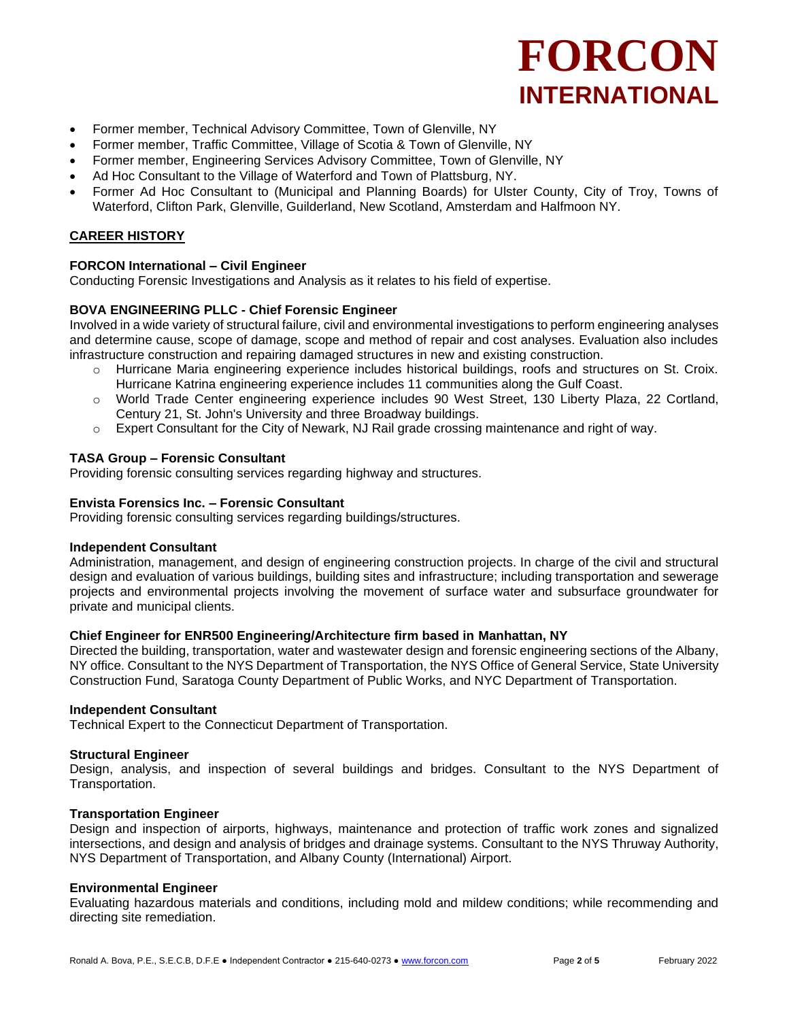- Former member, Technical Advisory Committee, Town of Glenville, NY
- Former member, Traffic Committee, Village of Scotia & Town of Glenville, NY
- Former member, Engineering Services Advisory Committee, Town of Glenville, NY
- Ad Hoc Consultant to the Village of Waterford and Town of Plattsburg, NY.
- Former Ad Hoc Consultant to (Municipal and Planning Boards) for Ulster County, City of Troy, Towns of Waterford, Clifton Park, Glenville, Guilderland, New Scotland, Amsterdam and Halfmoon NY.

## **CAREER HISTORY**

## **FORCON International – Civil Engineer**

Conducting Forensic Investigations and Analysis as it relates to his field of expertise.

## **BOVA ENGINEERING PLLC - Chief Forensic Engineer**

Involved in a wide variety of structural failure, civil and environmental investigations to perform engineering analyses and determine cause, scope of damage, scope and method of repair and cost analyses. Evaluation also includes infrastructure construction and repairing damaged structures in new and existing construction.

- o Hurricane Maria engineering experience includes historical buildings, roofs and structures on St. Croix. Hurricane Katrina engineering experience includes 11 communities along the Gulf Coast.
- o World Trade Center engineering experience includes 90 West Street, 130 Liberty Plaza, 22 Cortland, Century 21, St. John's University and three Broadway buildings.
- $\circ$  Expert Consultant for the City of Newark, NJ Rail grade crossing maintenance and right of way.

## **TASA Group – Forensic Consultant**

Providing forensic consulting services regarding highway and structures.

#### **Envista Forensics Inc. – Forensic Consultant**

Providing forensic consulting services regarding buildings/structures.

#### **Independent Consultant**

Administration, management, and design of engineering construction projects. In charge of the civil and structural design and evaluation of various buildings, building sites and infrastructure; including transportation and sewerage projects and environmental projects involving the movement of surface water and subsurface groundwater for private and municipal clients.

#### **Chief Engineer for ENR500 Engineering/Architecture firm based in Manhattan, NY**

Directed the building, transportation, water and wastewater design and forensic engineering sections of the Albany, NY office. Consultant to the NYS Department of Transportation, the NYS Office of General Service, State University Construction Fund, Saratoga County Department of Public Works, and NYC Department of Transportation.

#### **Independent Consultant**

Technical Expert to the Connecticut Department of Transportation.

#### **Structural Engineer**

Design, analysis, and inspection of several buildings and bridges. Consultant to the NYS Department of Transportation.

#### **Transportation Engineer**

Design and inspection of airports, highways, maintenance and protection of traffic work zones and signalized intersections, and design and analysis of bridges and drainage systems. Consultant to the NYS Thruway Authority, NYS Department of Transportation, and Albany County (International) Airport.

#### **Environmental Engineer**

Evaluating hazardous materials and conditions, including mold and mildew conditions; while recommending and directing site remediation.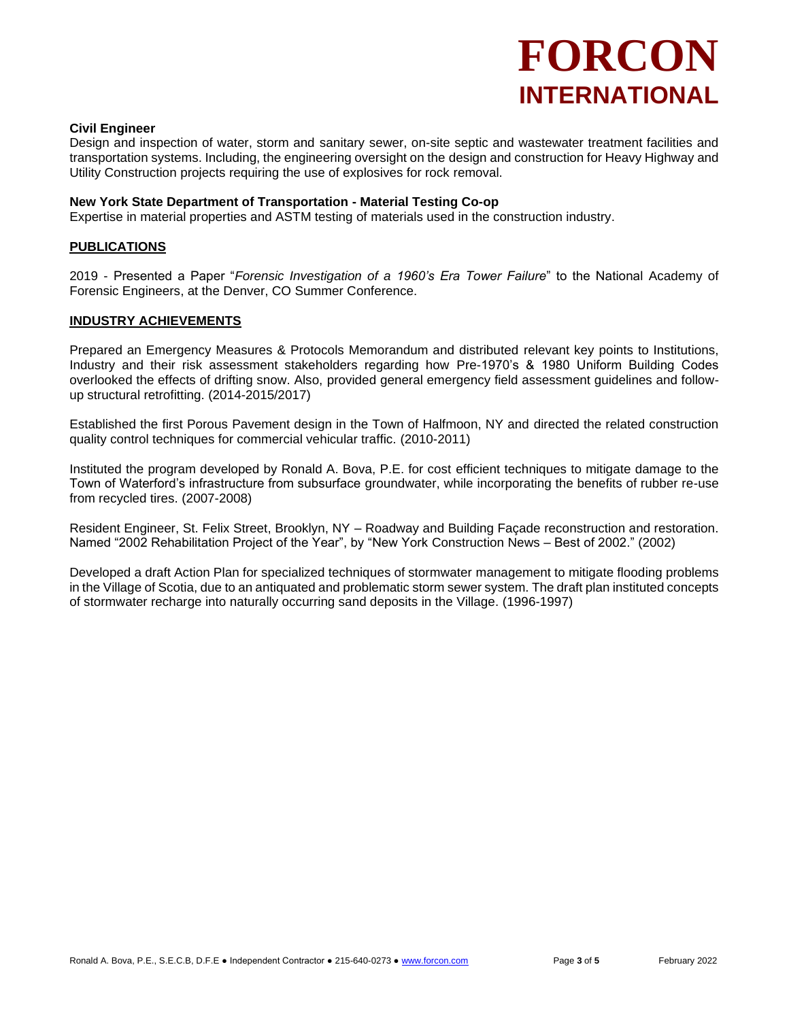#### **Civil Engineer**

Design and inspection of water, storm and sanitary sewer, on-site septic and wastewater treatment facilities and transportation systems. Including, the engineering oversight on the design and construction for Heavy Highway and Utility Construction projects requiring the use of explosives for rock removal.

#### **New York State Department of Transportation - Material Testing Co-op**

Expertise in material properties and ASTM testing of materials used in the construction industry.

#### **PUBLICATIONS**

2019 - Presented a Paper "*Forensic Investigation of a 1960's Era Tower Failure*" to the National Academy of Forensic Engineers, at the Denver, CO Summer Conference.

#### **INDUSTRY ACHIEVEMENTS**

Prepared an Emergency Measures & Protocols Memorandum and distributed relevant key points to Institutions, Industry and their risk assessment stakeholders regarding how Pre-1970's & 1980 Uniform Building Codes overlooked the effects of drifting snow. Also, provided general emergency field assessment guidelines and followup structural retrofitting. (2014-2015/2017)

Established the first Porous Pavement design in the Town of Halfmoon, NY and directed the related construction quality control techniques for commercial vehicular traffic. (2010-2011)

Instituted the program developed by Ronald A. Bova, P.E. for cost efficient techniques to mitigate damage to the Town of Waterford's infrastructure from subsurface groundwater, while incorporating the benefits of rubber re-use from recycled tires. (2007-2008)

Resident Engineer, St. Felix Street, Brooklyn, NY – Roadway and Building Façade reconstruction and restoration. Named "2002 Rehabilitation Project of the Year", by "New York Construction News – Best of 2002." (2002)

Developed a draft Action Plan for specialized techniques of stormwater management to mitigate flooding problems in the Village of Scotia, due to an antiquated and problematic storm sewer system. The draft plan instituted concepts of stormwater recharge into naturally occurring sand deposits in the Village. (1996-1997)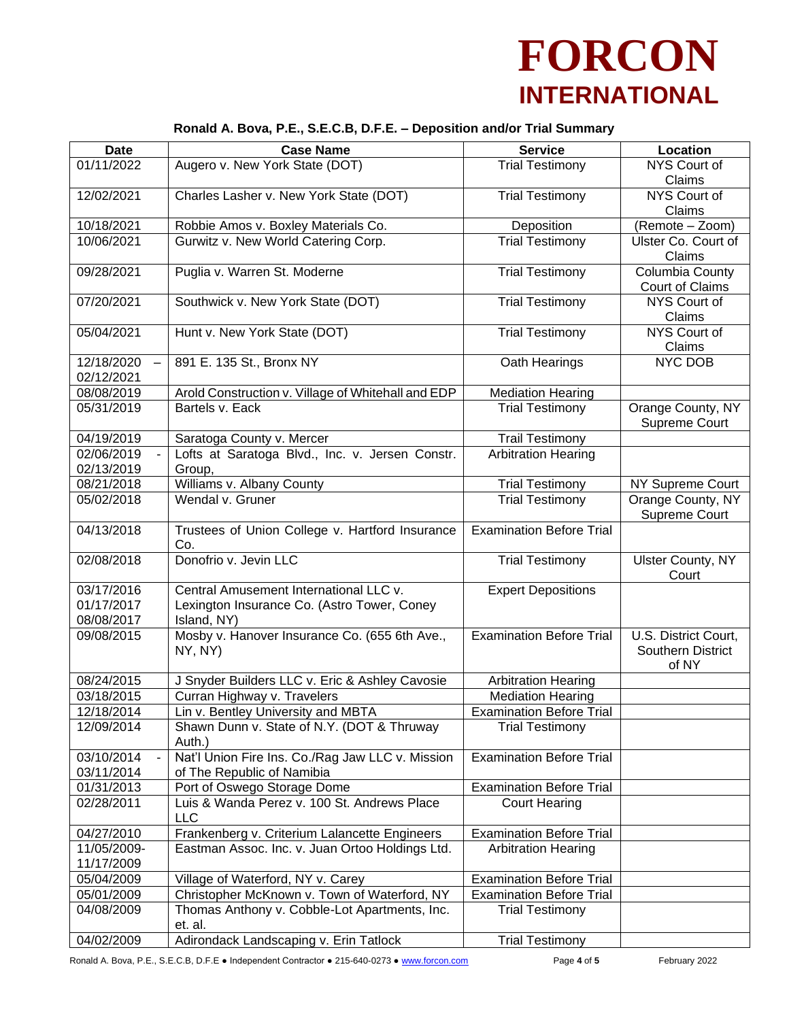## **Ronald A. Bova, P.E., S.E.C.B, D.F.E. – Deposition and/or Trial Summary**

| <b>Date</b>              | <b>Case Name</b>                                                                  | <b>Service</b>                  | Location                 |
|--------------------------|-----------------------------------------------------------------------------------|---------------------------------|--------------------------|
| 01/11/2022               | Augero v. New York State (DOT)                                                    | <b>Trial Testimony</b>          | NYS Court of             |
|                          |                                                                                   |                                 | Claims                   |
| 12/02/2021               | Charles Lasher v. New York State (DOT)                                            | <b>Trial Testimony</b>          | NYS Court of             |
|                          |                                                                                   |                                 | Claims                   |
| 10/18/2021               | Robbie Amos v. Boxley Materials Co.                                               | Deposition                      | (Remote - Zoom)          |
| 10/06/2021               | Gurwitz v. New World Catering Corp.                                               | <b>Trial Testimony</b>          | Ulster Co. Court of      |
|                          |                                                                                   |                                 | Claims                   |
| 09/28/2021               | Puglia v. Warren St. Moderne                                                      | <b>Trial Testimony</b>          | Columbia County          |
|                          |                                                                                   |                                 | Court of Claims          |
| 07/20/2021               | Southwick v. New York State (DOT)                                                 | <b>Trial Testimony</b>          | NYS Court of             |
|                          |                                                                                   |                                 | Claims                   |
| 05/04/2021               | Hunt v. New York State (DOT)                                                      | <b>Trial Testimony</b>          | NYS Court of             |
|                          |                                                                                   |                                 | Claims                   |
| 12/18/2020               | 891 E. 135 St., Bronx NY                                                          | Oath Hearings                   | NYC DOB                  |
| 02/12/2021               |                                                                                   |                                 |                          |
| 08/08/2019               | Arold Construction v. Village of Whitehall and EDP                                | <b>Mediation Hearing</b>        |                          |
| 05/31/2019               | Bartels v. Eack                                                                   | <b>Trial Testimony</b>          | Orange County, NY        |
|                          |                                                                                   |                                 | Supreme Court            |
| 04/19/2019               | Saratoga County v. Mercer                                                         | <b>Trail Testimony</b>          |                          |
| 02/06/2019               | Lofts at Saratoga Blvd., Inc. v. Jersen Constr.                                   | <b>Arbitration Hearing</b>      |                          |
| 02/13/2019               | Group,                                                                            |                                 |                          |
| 08/21/2018               | Williams v. Albany County                                                         | <b>Trial Testimony</b>          | NY Supreme Court         |
| 05/02/2018               | Wendal v. Gruner                                                                  | <b>Trial Testimony</b>          | Orange County, NY        |
| 04/13/2018               | Trustees of Union College v. Hartford Insurance                                   | <b>Examination Before Trial</b> | Supreme Court            |
|                          | Co.                                                                               |                                 |                          |
| 02/08/2018               | Donofrio v. Jevin LLC                                                             | <b>Trial Testimony</b>          | <b>Ulster County, NY</b> |
|                          |                                                                                   |                                 | Court                    |
| 03/17/2016               | Central Amusement International LLC v.                                            | <b>Expert Depositions</b>       |                          |
| 01/17/2017               | Lexington Insurance Co. (Astro Tower, Coney                                       |                                 |                          |
| 08/08/2017               | Island, NY)                                                                       |                                 |                          |
| 09/08/2015               | Mosby v. Hanover Insurance Co. (655 6th Ave.,                                     | <b>Examination Before Trial</b> | U.S. District Court,     |
|                          | NY, NY)                                                                           |                                 | Southern District        |
|                          |                                                                                   |                                 | of NY                    |
| 08/24/2015               | J Snyder Builders LLC v. Eric & Ashley Cavosie                                    | <b>Arbitration Hearing</b>      |                          |
| 03/18/2015               | Curran Highway v. Travelers                                                       | <b>Mediation Hearing</b>        |                          |
| 12/18/2014               | Lin v. Bentley University and MBTA                                                | <b>Examination Before Trial</b> |                          |
| 12/09/2014               | Shawn Dunn v. State of N.Y. (DOT & Thruway                                        | <b>Trial Testimony</b>          |                          |
|                          | Auth.)                                                                            |                                 |                          |
| 03/10/2014               | Nat'l Union Fire Ins. Co./Rag Jaw LLC v. Mission                                  | <b>Examination Before Trial</b> |                          |
| 03/11/2014               | of The Republic of Namibia                                                        |                                 |                          |
| 01/31/2013               | Port of Oswego Storage Dome                                                       | <b>Examination Before Trial</b> |                          |
| 02/28/2011               | Luis & Wanda Perez v. 100 St. Andrews Place                                       | <b>Court Hearing</b>            |                          |
|                          | <b>LLC</b>                                                                        |                                 |                          |
| 04/27/2010               | Frankenberg v. Criterium Lalancette Engineers                                     | <b>Examination Before Trial</b> |                          |
| 11/05/2009-              | Eastman Assoc. Inc. v. Juan Ortoo Holdings Ltd.                                   | <b>Arbitration Hearing</b>      |                          |
| 11/17/2009               |                                                                                   | <b>Examination Before Trial</b> |                          |
| 05/04/2009<br>05/01/2009 | Village of Waterford, NY v. Carey<br>Christopher McKnown v. Town of Waterford, NY | <b>Examination Before Trial</b> |                          |
| 04/08/2009               | Thomas Anthony v. Cobble-Lot Apartments, Inc.                                     | <b>Trial Testimony</b>          |                          |
|                          | et. al.                                                                           |                                 |                          |
| 04/02/2009               | Adirondack Landscaping v. Erin Tatlock                                            | <b>Trial Testimony</b>          |                          |
|                          |                                                                                   |                                 |                          |